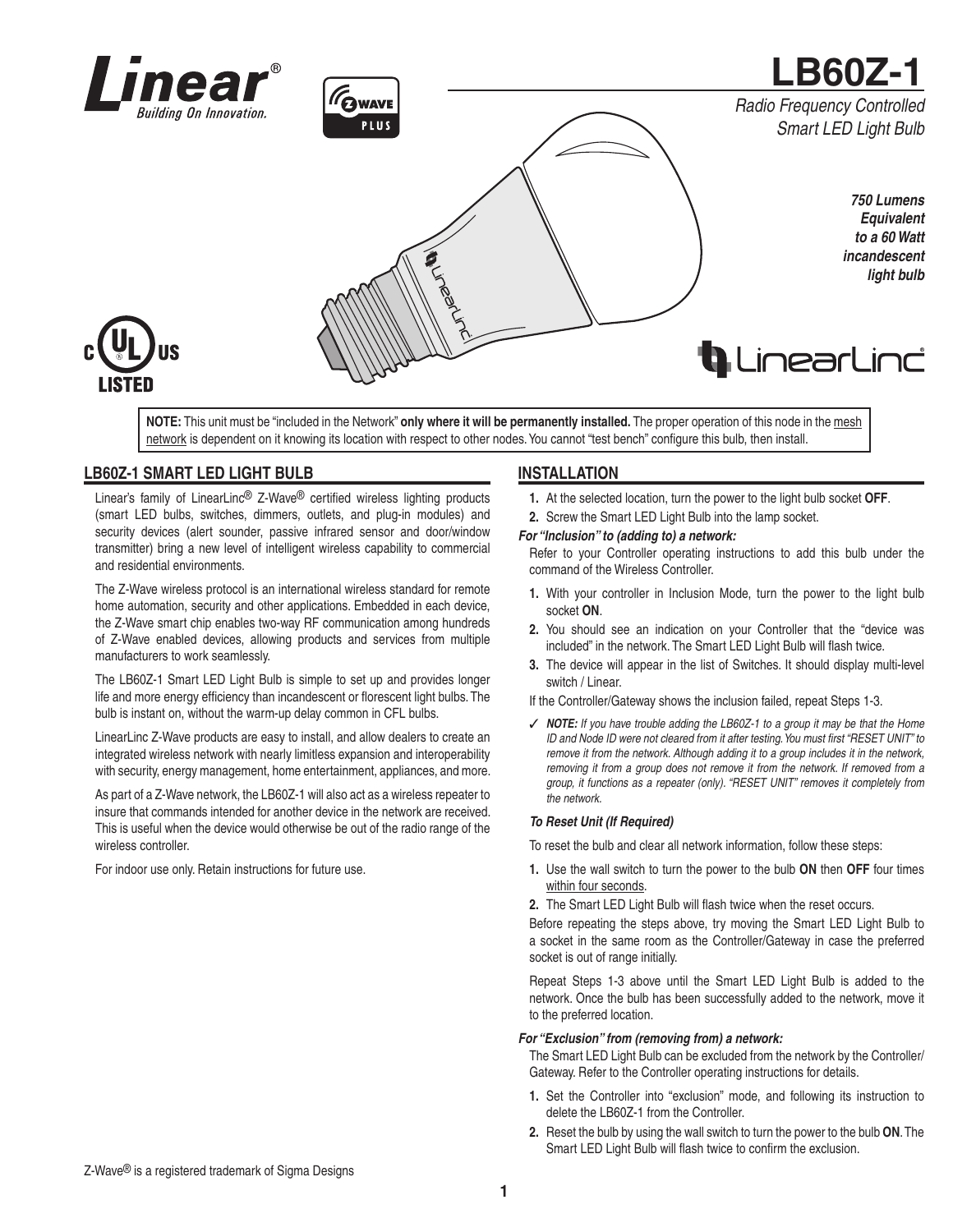



**NOTE:** This unit must be "included in the Network" **only where it will be permanently installed.** The proper operation of this node in the mesh network is dependent on it knowing its location with respect to other nodes. You cannot "test bench" configure this bulb, then install.

# **LB60Z-1 SMART LED LIGHT BULB**

Linear's family of LinearLinc® Z-Wave® certified wireless lighting products (smart LED bulbs, switches, dimmers, outlets, and plug-in modules) and security devices (alert sounder, passive infrared sensor and door/window transmitter) bring a new level of intelligent wireless capability to commercial and residential environments.

The Z-Wave wireless protocol is an international wireless standard for remote home automation, security and other applications. Embedded in each device, the Z-Wave smart chip enables two-way RF communication among hundreds of Z-Wave enabled devices, allowing products and services from multiple manufacturers to work seamlessly.

The LB60Z-1 Smart LED Light Bulb is simple to set up and provides longer life and more energy efficiency than incandescent or florescent light bulbs. The bulb is instant on, without the warm-up delay common in CFL bulbs.

LinearLinc Z-Wave products are easy to install, and allow dealers to create an integrated wireless network with nearly limitless expansion and interoperability with security, energy management, home entertainment, appliances, and more.

As part of a Z-Wave network, the LB60Z-1 will also act as a wireless repeater to insure that commands intended for another device in the network are received. This is useful when the device would otherwise be out of the radio range of the wireless controller.

For indoor use only. Retain instructions for future use.

## **INSTALLATION**

- **1.** At the selected location, turn the power to the light bulb socket **OFF**.
- **2.** Screw the Smart LED Light Bulb into the lamp socket.

### *For "Inclusion" to (adding to) a network:*

Refer to your Controller operating instructions to add this bulb under the command of the Wireless Controller.

- **1.** With your controller in Inclusion Mode, turn the power to the light bulb socket **ON**.
- **2.** You should see an indication on your Controller that the "device was included" in the network. The Smart LED Light Bulb will flash twice.
- **3.** The device will appear in the list of Switches. It should display multi-level switch / Linear.

If the Controller/Gateway shows the inclusion failed, repeat Steps 1-3.

✓ *NOTE: If you have trouble adding the LB60Z-1 to a group it may be that the Home ID and Node ID were not cleared from it after testing. You must first "RESET UNIT" to remove it from the network. Although adding it to a group includes it in the network, removing it from a group does not remove it from the network. If removed from a group, it functions as a repeater (only). "RESET UNIT" removes it completely from the network.*

#### *To Reset Unit (If Required)*

To reset the bulb and clear all network information, follow these steps:

- **1.** Use the wall switch to turn the power to the bulb **ON** then **OFF** four times within four seconds.
- 2. The Smart LED Light Bulb will flash twice when the reset occurs.

Before repeating the steps above, try moving the Smart LED Light Bulb to a socket in the same room as the Controller/Gateway in case the preferred socket is out of range initially.

Repeat Steps 1-3 above until the Smart LED Light Bulb is added to the network. Once the bulb has been successfully added to the network, move it to the preferred location.

### *For "Exclusion" from (removing from) a network:*

The Smart LED Light Bulb can be excluded from the network by the Controller/ Gateway. Refer to the Controller operating instructions for details.

- **1.** Set the Controller into "exclusion" mode, and following its instruction to delete the LB60Z-1 from the Controller.
- **2.** Reset the bulb by using the wall switch to turn the power to the bulb **ON**. The Smart LED Light Bulb will flash twice to confirm the exclusion.